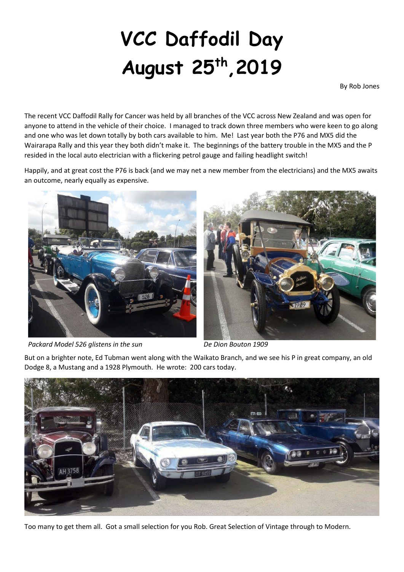## **VCC Daffodil Day August 25th,2019**

By Rob Jones

The recent VCC Daffodil Rally for Cancer was held by all branches of the VCC across New Zealand and was open for anyone to attend in the vehicle of their choice. I managed to track down three members who were keen to go along and one who was let down totally by both cars available to him. Me! Last year both the P76 and MX5 did the Wairarapa Rally and this year they both didn't make it. The beginnings of the battery trouble in the MX5 and the P resided in the local auto electrician with a flickering petrol gauge and failing headlight switch!

Happily, and at great cost the P76 is back (and we may net a new member from the electricians) and the MX5 awaits an outcome, nearly equally as expensive.





*Packard Model 526 glistens in the sun De Dion Bouton 1909*

But on a brighter note, Ed Tubman went along with the Waikato Branch, and we see his P in great company, an old Dodge 8, a Mustang and a 1928 Plymouth. He wrote: 200 cars today.



Too many to get them all. Got a small selection for you Rob. Great Selection of Vintage through to Modern.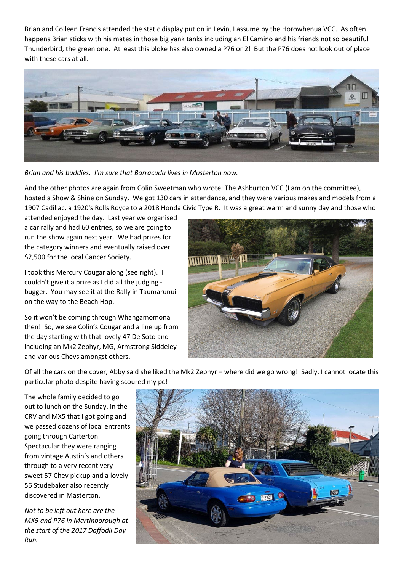Brian and Colleen Francis attended the static display put on in Levin, I assume by the Horowhenua VCC. As often happens Brian sticks with his mates in those big yank tanks including an El Camino and his friends not so beautiful Thunderbird, the green one. At least this bloke has also owned a P76 or 2! But the P76 does not look out of place with these cars at all.



*Brian and his buddies. I'm sure that Barracuda lives in Masterton now.*

And the other photos are again from Colin Sweetman who wrote: The Ashburton VCC (I am on the committee), hosted a Show & Shine on Sunday. We got 130 cars in attendance, and they were various makes and models from a 1907 Cadillac, a 1920's Rolls Royce to a 2018 Honda Civic Type R. It was a great warm and sunny day and those who

attended enjoyed the day. Last year we organised a car rally and had 60 entries, so we are going to run the show again next year. We had prizes for the category winners and eventually raised over \$2,500 for the local Cancer Society.

I took this Mercury Cougar along (see right). I couldn't give it a prize as I did all the judging bugger. You may see it at the Rally in Taumarunui on the way to the Beach Hop.

So it won't be coming through Whangamomona then! So, we see Colin's Cougar and a line up from the day starting with that lovely 47 De Soto and including an Mk2 Zephyr, MG, Armstrong Siddeley and various Chevs amongst others.



Of all the cars on the cover, Abby said she liked the Mk2 Zephyr – where did we go wrong! Sadly, I cannot locate this particular photo despite having scoured my pc!

The whole family decided to go out to lunch on the Sunday, in the CRV and MX5 that I got going and we passed dozens of local entrants going through Carterton. Spectacular they were ranging from vintage Austin's and others through to a very recent very sweet 57 Chev pickup and a lovely 56 Studebaker also recently discovered in Masterton.

*Not to be left out here are the MX5 and P76 in Martinborough at the start of the 2017 Daffodil Day Run.*